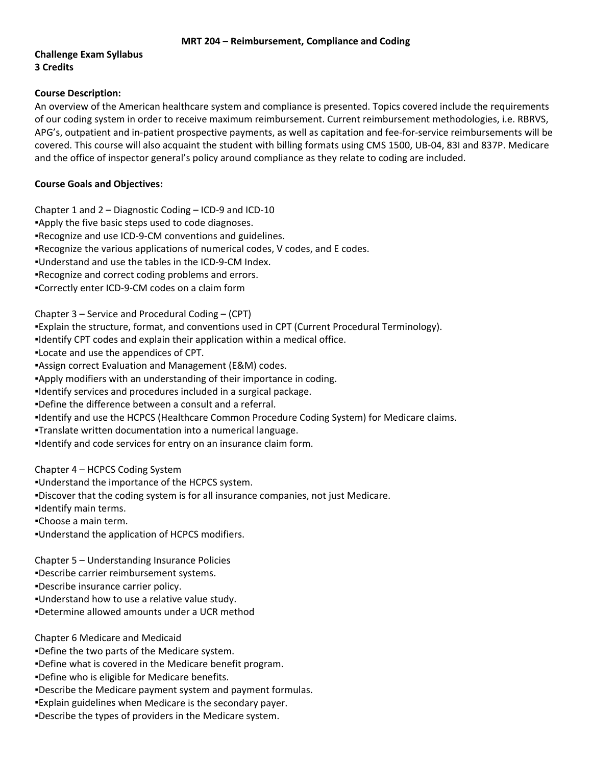## **Challenge Exam Syllabus 3 Credits**

### **Course Description:**

An overview of the American healthcare system and compliance is presented. Topics covered include the requirements of our coding system in order to receive maximum reimbursement. Current reimbursement methodologies, i.e. RBRVS, APG's, outpatient and in‐patient prospective payments, as well as capitation and fee‐for‐service reimbursements will be covered. This course will also acquaint the student with billing formats using CMS 1500, UB‐04, 83I and 837P. Medicare and the office of inspector general's policy around compliance as they relate to coding are included.

## **Course Goals and Objectives:**

Chapter 1 and 2 – Diagnostic Coding – ICD‐9 and ICD‐10

- ▪Apply the five basic steps used to code diagnoses.
- ■Recognize and use ICD-9-CM conventions and guidelines.
- ▪Recognize the various applications of numerical codes, V codes, and E codes.
- ▪Understand and use the tables in the ICD‐9‐CM Index.
- ▪Recognize and correct coding problems and errors.
- ▪Correctly enter ICD‐9‐CM codes on a claim form
- Chapter 3 Service and Procedural Coding (CPT)
- ▪Explain the structure, format, and conventions used in CPT (Current Procedural Terminology).
- ▪Identify CPT codes and explain their application within a medical office.
- ▪Locate and use the appendices of CPT.
- ▪Assign correct Evaluation and Management (E&M) codes.
- ▪Apply modifiers with an understanding of their importance in coding.
- ▪Identify services and procedures included in a surgical package.
- ▪Define the difference between a consult and a referral.
- ▪Identify and use the HCPCS (Healthcare Common Procedure Coding System) for Medicare claims.
- ▪Translate written documentation into a numerical language.
- ▪Identify and code services for entry on an insurance claim form.

Chapter 4 – HCPCS Coding System

- ▪Understand the importance of the HCPCS system.
- ▪Discover that the coding system is for all insurance companies, not just Medicare.
- ▪Identify main terms.
- ▪Choose a main term.
- ▪Understand the application of HCPCS modifiers.

Chapter 5 – Understanding Insurance Policies

- ▪Describe carrier reimbursement systems.
- ▪Describe insurance carrier policy.
- ▪Understand how to use a relative value study.
- ▪Determine allowed amounts under a UCR method

Chapter 6 Medicare and Medicaid

- ▪Define the two parts of the Medicare system.
- ▪Define what is covered in the Medicare benefit program.
- ▪Define who is eligible for Medicare benefits.
- ▪Describe the Medicare payment system and payment formulas.
- ▪Explain guidelines when Medicare is the secondary payer.
- ▪Describe the types of providers in the Medicare system.